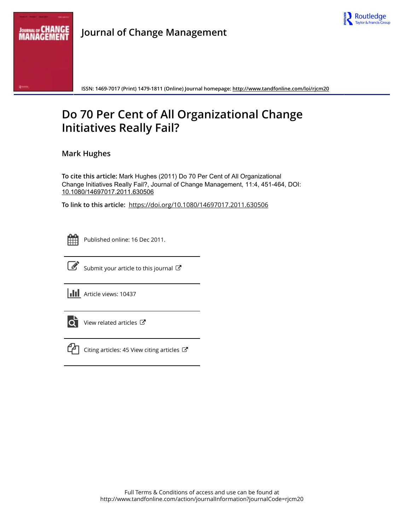

# **Journal of Change Management**

**ISSN: 1469-7017 (Print) 1479-1811 (Online) Journal homepage:<http://www.tandfonline.com/loi/rjcm20>**

# **Do 70 Per Cent of All Organizational Change Initiatives Really Fail?**

**Mark Hughes**

**To cite this article:** Mark Hughes (2011) Do 70 Per Cent of All Organizational Change Initiatives Really Fail?, Journal of Change Management, 11:4, 451-464, DOI: [10.1080/14697017.2011.630506](http://www.tandfonline.com/action/showCitFormats?doi=10.1080/14697017.2011.630506)

**To link to this article:** <https://doi.org/10.1080/14697017.2011.630506>

|  | - |  |
|--|---|--|
|  |   |  |
|  |   |  |
|  |   |  |

Published online: 16 Dec 2011.



 $\overrightarrow{S}$  [Submit your article to this journal](http://www.tandfonline.com/action/authorSubmission?journalCode=rjcm20&show=instructions)  $\overrightarrow{S}$ 

**III** Article views: 10437



 $\overline{Q}$  [View related articles](http://www.tandfonline.com/doi/mlt/10.1080/14697017.2011.630506)  $\overline{C}$ 



 $\mathbb{C}$  [Citing articles: 45 View citing articles](http://www.tandfonline.com/doi/citedby/10.1080/14697017.2011.630506#tabModule)  $\mathbb{C}$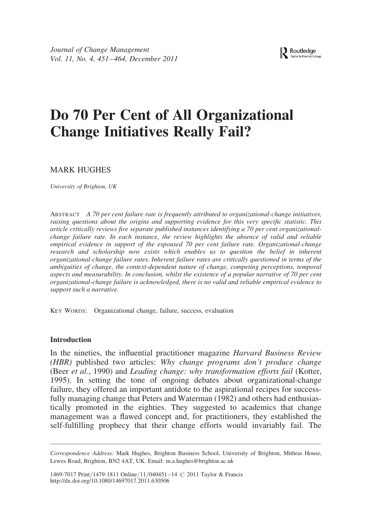# Do 70 Per Cent of All Organizational Change Initiatives Really Fail?

MARK HUGHES

University of Brighton, UK

ABSTRACT A 70 per cent failure rate is frequently attributed to organizational-change initiatives, raising questions about the origins and supporting evidence for this very specific statistic. This article critically reviews five separate published instances identifying a 70 per cent organizationalchange failure rate. In each instance, the review highlights the absence of valid and reliable empirical evidence in support of the espoused 70 per cent failure rate. Organizational-change research and scholarship now exists which enables us to question the belief in inherent organizational-change failure rates. Inherent failure rates are critically questioned in terms of the ambiguities of change, the context-dependent nature of change, competing perceptions, temporal aspects and measurability. In conclusion, whilst the existence of a popular narrative of 70 per cent organizational-change failure is acknowledged, there is no valid and reliable empirical evidence to support such a narrative.

KEY WORDS: Organizational change, failure, success, evaluation

#### Introduction

In the nineties, the influential practitioner magazine Harvard Business Review (HBR) published two articles: Why change programs don't produce change (Beer et al., 1990) and Leading change: why transformation efforts fail (Kotter, 1995). In setting the tone of ongoing debates about organizational-change failure, they offered an important antidote to the aspirational recipes for successfully managing change that Peters and Waterman (1982) and others had enthusiastically promoted in the eighties. They suggested to academics that change management was a flawed concept and, for practitioners, they established the self-fulfilling prophecy that their change efforts would invariably fail. The

1469-7017 Print/1479-1811 Online/11/040451-14 © 2011 Taylor & Francis http://dx.doi.org/10.1080/14697017.2011.630506

Correspondence Address: Mark Hughes, Brighton Business School, University of Brighton, Mithras House, Lewes Road, Brighton, BN2 4AT, UK. Email: m.a.hughes@brighton.ac.uk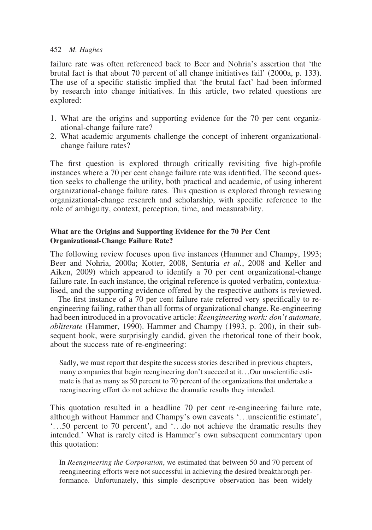failure rate was often referenced back to Beer and Nohria's assertion that 'the brutal fact is that about 70 percent of all change initiatives fail' (2000a, p. 133). The use of a specific statistic implied that 'the brutal fact' had been informed by research into change initiatives. In this article, two related questions are explored:

- 1. What are the origins and supporting evidence for the 70 per cent organizational-change failure rate?
- 2. What academic arguments challenge the concept of inherent organizationalchange failure rates?

The first question is explored through critically revisiting five high-profile instances where a 70 per cent change failure rate was identified. The second question seeks to challenge the utility, both practical and academic, of using inherent organizational-change failure rates. This question is explored through reviewing organizational-change research and scholarship, with specific reference to the role of ambiguity, context, perception, time, and measurability.

# What are the Origins and Supporting Evidence for the 70 Per Cent Organizational-Change Failure Rate?

The following review focuses upon five instances (Hammer and Champy, 1993; Beer and Nohria, 2000a; Kotter, 2008, Senturia et al., 2008 and Keller and Aiken, 2009) which appeared to identify a 70 per cent organizational-change failure rate. In each instance, the original reference is quoted verbatim, contextualised, and the supporting evidence offered by the respective authors is reviewed.

The first instance of a 70 per cent failure rate referred very specifically to reengineering failing, rather than all forms of organizational change. Re-engineering had been introduced in a provocative article: Reengineering work: don't automate, obliterate (Hammer, 1990). Hammer and Champy (1993, p. 200), in their subsequent book, were surprisingly candid, given the rhetorical tone of their book, about the success rate of re-engineering:

Sadly, we must report that despite the success stories described in previous chapters, many companies that begin reengineering don't succeed at it...Our unscientific estimate is that as many as 50 percent to 70 percent of the organizations that undertake a reengineering effort do not achieve the dramatic results they intended.

This quotation resulted in a headline 70 per cent re-engineering failure rate, although without Hammer and Champy's own caveats '...unscientific estimate', '...50 percent to 70 percent', and '...do not achieve the dramatic results they intended.' What is rarely cited is Hammer's own subsequent commentary upon this quotation:

In Reengineering the Corporation, we estimated that between 50 and 70 percent of reengineering efforts were not successful in achieving the desired breakthrough performance. Unfortunately, this simple descriptive observation has been widely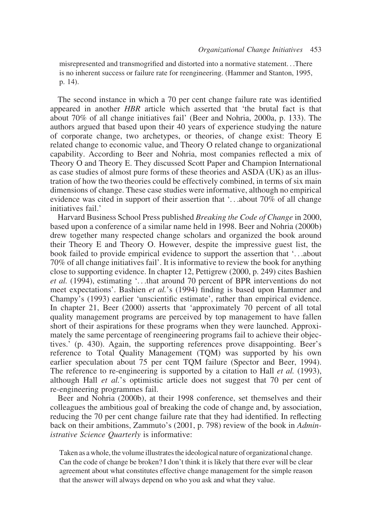misrepresented and transmogrified and distorted into a normative statement...There is no inherent success or failure rate for reengineering. (Hammer and Stanton, 1995, p. 14).

The second instance in which a 70 per cent change failure rate was identified appeared in another HBR article which asserted that 'the brutal fact is that about 70% of all change initiatives fail' (Beer and Nohria, 2000a, p. 133). The authors argued that based upon their 40 years of experience studying the nature of corporate change, two archetypes, or theories, of change exist: Theory E related change to economic value, and Theory O related change to organizational capability. According to Beer and Nohria, most companies reflected a mix of Theory O and Theory E. They discussed Scott Paper and Champion International as case studies of almost pure forms of these theories and ASDA (UK) as an illustration of how the two theories could be effectively combined, in terms of six main dimensions of change. These case studies were informative, although no empirical evidence was cited in support of their assertion that '...about 70% of all change initiatives fail.'

Harvard Business School Press published Breaking the Code of Change in 2000, based upon a conference of a similar name held in 1998. Beer and Nohria (2000b) drew together many respected change scholars and organized the book around their Theory E and Theory O. However, despite the impressive guest list, the book failed to provide empirical evidence to support the assertion that '...about 70% of all change initiatives fail'. It is informative to review the book for anything close to supporting evidence. In chapter 12, Pettigrew (2000, p. 249) cites Bashien et al. (1994), estimating '...that around 70 percent of BPR interventions do not meet expectations'. Bashien et al.'s (1994) finding is based upon Hammer and Champy's (1993) earlier 'unscientific estimate', rather than empirical evidence. In chapter 21, Beer (2000) asserts that 'approximately 70 percent of all total quality management programs are perceived by top management to have fallen short of their aspirations for these programs when they were launched. Approximately the same percentage of reengineering programs fail to achieve their objectives.' (p. 430). Again, the supporting references prove disappointing. Beer's reference to Total Quality Management (TQM) was supported by his own earlier speculation about 75 per cent TQM failure (Spector and Beer, 1994). The reference to re-engineering is supported by a citation to Hall *et al.* (1993), although Hall et al.'s optimistic article does not suggest that 70 per cent of re-engineering programmes fail.

Beer and Nohria (2000b), at their 1998 conference, set themselves and their colleagues the ambitious goal of breaking the code of change and, by association, reducing the 70 per cent change failure rate that they had identified. In reflecting back on their ambitions, Zammuto's (2001, p. 798) review of the book in Administrative Science Quarterly is informative:

Taken as a whole, the volumeillustrates the ideological nature of organizational change. Can the code of change be broken? I don't think it is likely that there ever will be clear agreement about what constitutes effective change management for the simple reason that the answer will always depend on who you ask and what they value.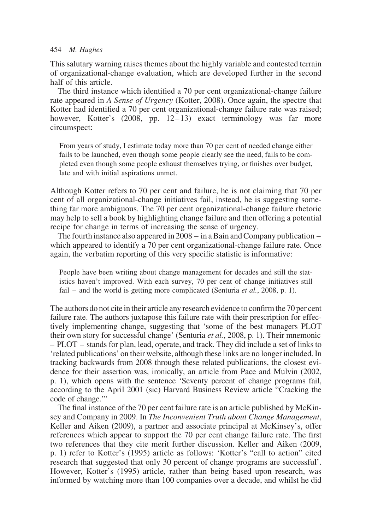This salutary warning raises themes about the highly variable and contested terrain of organizational-change evaluation, which are developed further in the second half of this article.

The third instance which identified a 70 per cent organizational-change failure rate appeared in A Sense of Urgency (Kotter, 2008). Once again, the spectre that Kotter had identified a 70 per cent organizational-change failure rate was raised; however, Kotter's  $(2008, pp. 12-13)$  exact terminology was far more circumspect:

From years of study, I estimate today more than 70 per cent of needed change either fails to be launched, even though some people clearly see the need, fails to be completed even though some people exhaust themselves trying, or finishes over budget, late and with initial aspirations unmet.

Although Kotter refers to 70 per cent and failure, he is not claiming that 70 per cent of all organizational-change initiatives fail, instead, he is suggesting something far more ambiguous. The 70 per cent organizational-change failure rhetoric may help to sell a book by highlighting change failure and then offering a potential recipe for change in terms of increasing the sense of urgency.

The fourth instance also appeared in  $2008 -$  in a Bain and Company publication – which appeared to identify a 70 per cent organizational-change failure rate. Once again, the verbatim reporting of this very specific statistic is informative:

People have been writing about change management for decades and still the statistics haven't improved. With each survey, 70 per cent of change initiatives still fail – and the world is getting more complicated (Senturia *et al.*, 2008, p. 1).

The authors do not cite in their article any research evidence to confirm the 70 per cent failure rate. The authors juxtapose this failure rate with their prescription for effectively implementing change, suggesting that 'some of the best managers PLOT their own story for successful change' (Senturia et al., 2008, p. 1). Their mnemonic – PLOT – stands for plan, lead, operate, and track. They did include a set of links to 'related publications' on their website, although these links are no longer included. In tracking backwards from 2008 through these related publications, the closest evidence for their assertion was, ironically, an article from Pace and Mulvin (2002, p. 1), which opens with the sentence 'Seventy percent of change programs fail, according to the April 2001 (sic) Harvard Business Review article "Cracking the code of change."'

The final instance of the 70 per cent failure rate is an article published by McKinsey and Company in 2009. In The Inconvenient Truth about Change Management, Keller and Aiken (2009), a partner and associate principal at McKinsey's, offer references which appear to support the 70 per cent change failure rate. The first two references that they cite merit further discussion. Keller and Aiken (2009, p. 1) refer to Kotter's (1995) article as follows: 'Kotter's "call to action" cited research that suggested that only 30 percent of change programs are successful'. However, Kotter's (1995) article, rather than being based upon research, was informed by watching more than 100 companies over a decade, and whilst he did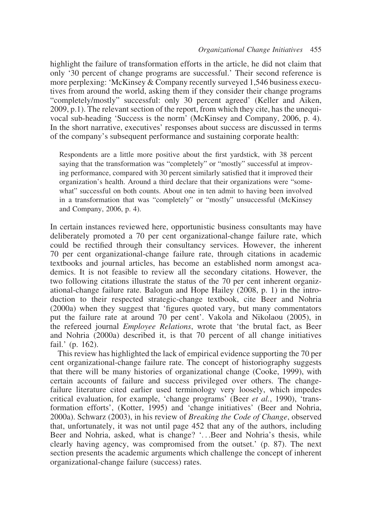highlight the failure of transformation efforts in the article, he did not claim that only '30 percent of change programs are successful.' Their second reference is more perplexing: 'McKinsey & Company recently surveyed 1,546 business executives from around the world, asking them if they consider their change programs "completely/mostly" successful: only 30 percent agreed' (Keller and Aiken, 2009, p.1). The relevant section of the report, from which they cite, has the unequivocal sub-heading 'Success is the norm' (McKinsey and Company, 2006, p. 4). In the short narrative, executives' responses about success are discussed in terms of the company's subsequent performance and sustaining corporate health:

Respondents are a little more positive about the first yardstick, with 38 percent saying that the transformation was "completely" or "mostly" successful at improving performance, compared with 30 percent similarly satisfied that it improved their organization's health. Around a third declare that their organizations were "somewhat" successful on both counts. About one in ten admit to having been involved in a transformation that was "completely" or "mostly" unsuccessful (McKinsey and Company, 2006, p. 4).

In certain instances reviewed here, opportunistic business consultants may have deliberately promoted a 70 per cent organizational-change failure rate, which could be rectified through their consultancy services. However, the inherent 70 per cent organizational-change failure rate, through citations in academic textbooks and journal articles, has become an established norm amongst academics. It is not feasible to review all the secondary citations. However, the two following citations illustrate the status of the 70 per cent inherent organizational-change failure rate. Balogun and Hope Hailey (2008, p. 1) in the introduction to their respected strategic-change textbook, cite Beer and Nohria (2000a) when they suggest that 'figures quoted vary, but many commentators put the failure rate at around 70 per cent'. Vakola and Nikolaou (2005), in the refereed journal Employee Relations, wrote that 'the brutal fact, as Beer and Nohria (2000a) described it, is that 70 percent of all change initiatives fail.' (p. 162).

This review has highlighted the lack of empirical evidence supporting the 70 per cent organizational-change failure rate. The concept of historiography suggests that there will be many histories of organizational change (Cooke, 1999), with certain accounts of failure and success privileged over others. The changefailure literature cited earlier used terminology very loosely, which impedes critical evaluation, for example, 'change programs' (Beer et al., 1990), 'transformation efforts', (Kotter, 1995) and 'change initiatives' (Beer and Nohria, 2000a). Schwarz (2003), in his review of Breaking the Code of Change, observed that, unfortunately, it was not until page 452 that any of the authors, including Beer and Nohria, asked, what is change? '...Beer and Nohria's thesis, while clearly having agency, was compromised from the outset.' (p. 87). The next section presents the academic arguments which challenge the concept of inherent organizational-change failure (success) rates.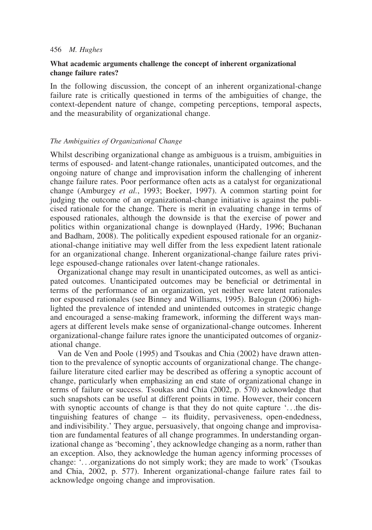## What academic arguments challenge the concept of inherent organizational change failure rates?

In the following discussion, the concept of an inherent organizational-change failure rate is critically questioned in terms of the ambiguities of change, the context-dependent nature of change, competing perceptions, temporal aspects, and the measurability of organizational change.

### The Ambiguities of Organizational Change

Whilst describing organizational change as ambiguous is a truism, ambiguities in terms of espoused- and latent-change rationales, unanticipated outcomes, and the ongoing nature of change and improvisation inform the challenging of inherent change failure rates. Poor performance often acts as a catalyst for organizational change (Amburgey et al., 1993; Boeker, 1997). A common starting point for judging the outcome of an organizational-change initiative is against the publicised rationale for the change. There is merit in evaluating change in terms of espoused rationales, although the downside is that the exercise of power and politics within organizational change is downplayed (Hardy, 1996; Buchanan and Badham, 2008). The politically expedient espoused rationale for an organizational-change initiative may well differ from the less expedient latent rationale for an organizational change. Inherent organizational-change failure rates privilege espoused-change rationales over latent-change rationales.

Organizational change may result in unanticipated outcomes, as well as anticipated outcomes. Unanticipated outcomes may be beneficial or detrimental in terms of the performance of an organization, yet neither were latent rationales nor espoused rationales (see Binney and Williams, 1995). Balogun (2006) highlighted the prevalence of intended and unintended outcomes in strategic change and encouraged a sense-making framework, informing the different ways managers at different levels make sense of organizational-change outcomes. Inherent organizational-change failure rates ignore the unanticipated outcomes of organizational change.

Van de Ven and Poole (1995) and Tsoukas and Chia (2002) have drawn attention to the prevalence of synoptic accounts of organizational change. The changefailure literature cited earlier may be described as offering a synoptic account of change, particularly when emphasizing an end state of organizational change in terms of failure or success. Tsoukas and Chia (2002, p. 570) acknowledge that such snapshots can be useful at different points in time. However, their concern with synoptic accounts of change is that they do not quite capture '...the distinguishing features of change – its fluidity, pervasiveness, open-endedness, and indivisibility.' They argue, persuasively, that ongoing change and improvisation are fundamental features of all change programmes. In understanding organizational change as 'becoming', they acknowledge changing as a norm, rather than an exception. Also, they acknowledge the human agency informing processes of change: '...organizations do not simply work; they are made to work' (Tsoukas and Chia, 2002, p. 577). Inherent organizational-change failure rates fail to acknowledge ongoing change and improvisation.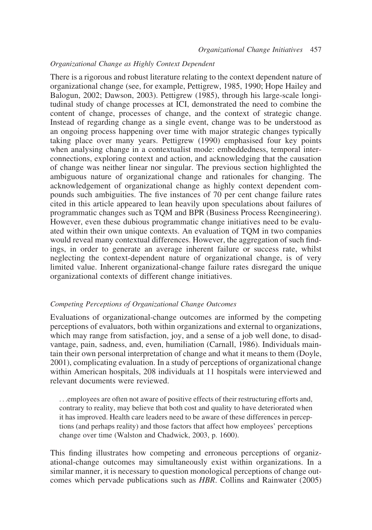## Organizational Change as Highly Context Dependent

There is a rigorous and robust literature relating to the context dependent nature of organizational change (see, for example, Pettigrew, 1985, 1990; Hope Hailey and Balogun, 2002; Dawson, 2003). Pettigrew (1985), through his large-scale longitudinal study of change processes at ICI, demonstrated the need to combine the content of change, processes of change, and the context of strategic change. Instead of regarding change as a single event, change was to be understood as an ongoing process happening over time with major strategic changes typically taking place over many years. Pettigrew (1990) emphasised four key points when analysing change in a contextualist mode: embeddedness, temporal interconnections, exploring context and action, and acknowledging that the causation of change was neither linear nor singular. The previous section highlighted the ambiguous nature of organizational change and rationales for changing. The acknowledgement of organizational change as highly context dependent compounds such ambiguities. The five instances of 70 per cent change failure rates cited in this article appeared to lean heavily upon speculations about failures of programmatic changes such as TQM and BPR (Business Process Reengineering). However, even these dubious programmatic change initiatives need to be evaluated within their own unique contexts. An evaluation of TQM in two companies would reveal many contextual differences. However, the aggregation of such findings, in order to generate an average inherent failure or success rate, whilst neglecting the context-dependent nature of organizational change, is of very limited value. Inherent organizational-change failure rates disregard the unique organizational contexts of different change initiatives.

### Competing Perceptions of Organizational Change Outcomes

Evaluations of organizational-change outcomes are informed by the competing perceptions of evaluators, both within organizations and external to organizations, which may range from satisfaction, joy, and a sense of a job well done, to disadvantage, pain, sadness, and, even, humiliation (Carnall, 1986). Individuals maintain their own personal interpretation of change and what it means to them (Doyle, 2001), complicating evaluation. In a study of perceptions of organizational change within American hospitals, 208 individuals at 11 hospitals were interviewed and relevant documents were reviewed.

...employees are often not aware of positive effects of their restructuring efforts and, contrary to reality, may believe that both cost and quality to have deteriorated when it has improved. Health care leaders need to be aware of these differences in perceptions (and perhaps reality) and those factors that affect how employees' perceptions change over time (Walston and Chadwick, 2003, p. 1600).

This finding illustrates how competing and erroneous perceptions of organizational-change outcomes may simultaneously exist within organizations. In a similar manner, it is necessary to question monological perceptions of change outcomes which pervade publications such as HBR. Collins and Rainwater (2005)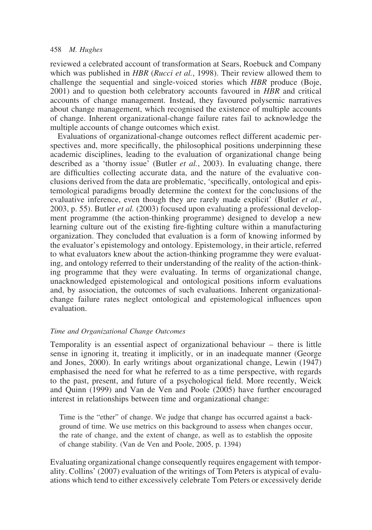reviewed a celebrated account of transformation at Sears, Roebuck and Company which was published in HBR (Rucci et al., 1998). Their review allowed them to challenge the sequential and single-voiced stories which HBR produce (Boje, 2001) and to question both celebratory accounts favoured in HBR and critical accounts of change management. Instead, they favoured polysemic narratives about change management, which recognised the existence of multiple accounts of change. Inherent organizational-change failure rates fail to acknowledge the multiple accounts of change outcomes which exist.

Evaluations of organizational-change outcomes reflect different academic perspectives and, more specifically, the philosophical positions underpinning these academic disciplines, leading to the evaluation of organizational change being described as a 'thorny issue' (Butler *et al.*, 2003). In evaluating change, there are difficulties collecting accurate data, and the nature of the evaluative conclusions derived from the data are problematic, 'specifically, ontological and epistemological paradigms broadly determine the context for the conclusions of the evaluative inference, even though they are rarely made explicit' (Butler *et al.*, 2003, p. 55). Butler *et al.* (2003) focused upon evaluating a professional development programme (the action-thinking programme) designed to develop a new learning culture out of the existing fire-fighting culture within a manufacturing organization. They concluded that evaluation is a form of knowing informed by the evaluator's epistemology and ontology. Epistemology, in their article, referred to what evaluators knew about the action-thinking programme they were evaluating, and ontology referred to their understanding of the reality of the action-thinking programme that they were evaluating. In terms of organizational change, unacknowledged epistemological and ontological positions inform evaluations and, by association, the outcomes of such evaluations. Inherent organizationalchange failure rates neglect ontological and epistemological influences upon evaluation.

## Time and Organizational Change Outcomes

Temporality is an essential aspect of organizational behaviour – there is little sense in ignoring it, treating it implicitly, or in an inadequate manner (George and Jones, 2000). In early writings about organizational change, Lewin (1947) emphasised the need for what he referred to as a time perspective, with regards to the past, present, and future of a psychological field. More recently, Weick and Quinn (1999) and Van de Ven and Poole (2005) have further encouraged interest in relationships between time and organizational change:

Time is the "ether" of change. We judge that change has occurred against a background of time. We use metrics on this background to assess when changes occur, the rate of change, and the extent of change, as well as to establish the opposite of change stability. (Van de Ven and Poole, 2005, p. 1394)

Evaluating organizational change consequently requires engagement with temporality. Collins' (2007) evaluation of the writings of Tom Peters is atypical of evaluations which tend to either excessively celebrate Tom Peters or excessively deride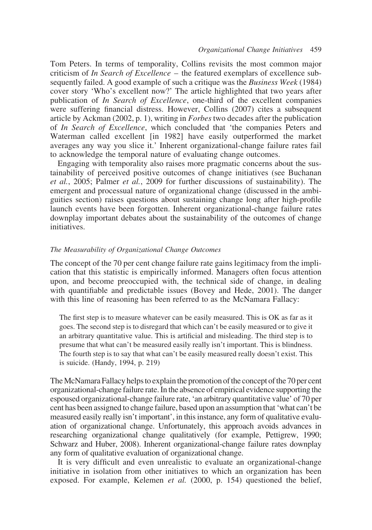Tom Peters. In terms of temporality, Collins revisits the most common major criticism of In Search of Excellence – the featured exemplars of excellence subsequently failed. A good example of such a critique was the Business Week (1984) cover story 'Who's excellent now?' The article highlighted that two years after publication of In Search of Excellence, one-third of the excellent companies were suffering financial distress. However, Collins (2007) cites a subsequent article by Ackman (2002, p. 1), writing in Forbes two decades after the publication of In Search of Excellence, which concluded that 'the companies Peters and Waterman called excellent [in 1982] have easily outperformed the market averages any way you slice it.' Inherent organizational-change failure rates fail to acknowledge the temporal nature of evaluating change outcomes.

Engaging with temporality also raises more pragmatic concerns about the sustainability of perceived positive outcomes of change initiatives (see Buchanan et al., 2005; Palmer et al., 2009 for further discussions of sustainability). The emergent and processual nature of organizational change (discussed in the ambiguities section) raises questions about sustaining change long after high-profile launch events have been forgotten. Inherent organizational-change failure rates downplay important debates about the sustainability of the outcomes of change initiatives.

### The Measurability of Organizational Change Outcomes

The concept of the 70 per cent change failure rate gains legitimacy from the implication that this statistic is empirically informed. Managers often focus attention upon, and become preoccupied with, the technical side of change, in dealing with quantifiable and predictable issues (Bovey and Hede, 2001). The danger with this line of reasoning has been referred to as the McNamara Fallacy:

The first step is to measure whatever can be easily measured. This is OK as far as it goes. The second step is to disregard that which can't be easily measured or to give it an arbitrary quantitative value. This is artificial and misleading. The third step is to presume that what can't be measured easily really isn't important. This is blindness. The fourth step is to say that what can't be easily measured really doesn't exist. This is suicide. (Handy, 1994, p. 219)

The McNamara Fallacy helps to explain the promotion of the concept of the 70 per cent organizational-change failure rate. In the absence of empirical evidence supporting the espoused organizational-change failure rate, 'an arbitrary quantitative value' of 70 per cent has been assigned to change failure, based upon an assumption that 'what can't be measured easily really isn't important', in this instance, any form of qualitative evaluation of organizational change. Unfortunately, this approach avoids advances in researching organizational change qualitatively (for example, Pettigrew, 1990; Schwarz and Huber, 2008). Inherent organizational-change failure rates downplay any form of qualitative evaluation of organizational change.

It is very difficult and even unrealistic to evaluate an organizational-change initiative in isolation from other initiatives to which an organization has been exposed. For example, Kelemen et al. (2000, p. 154) questioned the belief,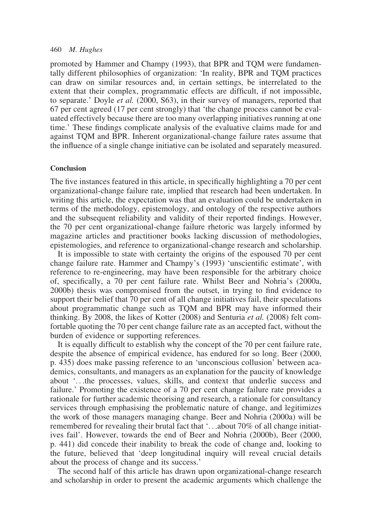promoted by Hammer and Champy (1993), that BPR and TQM were fundamentally different philosophies of organization: 'In reality, BPR and TQM practices can draw on similar resources and, in certain settings, be interrelated to the extent that their complex, programmatic effects are difficult, if not impossible, to separate.' Doyle et al. (2000, S63), in their survey of managers, reported that 67 per cent agreed (17 per cent strongly) that 'the change process cannot be evaluated effectively because there are too many overlapping initiatives running at one time.' These findings complicate analysis of the evaluative claims made for and against TQM and BPR. Inherent organizational-change failure rates assume that the influence of a single change initiative can be isolated and separately measured.

#### Conclusion

The five instances featured in this article, in specifically highlighting a 70 per cent organizational-change failure rate, implied that research had been undertaken. In writing this article, the expectation was that an evaluation could be undertaken in terms of the methodology, epistemology, and ontology of the respective authors and the subsequent reliability and validity of their reported findings. However, the 70 per cent organizational-change failure rhetoric was largely informed by magazine articles and practitioner books lacking discussion of methodologies, epistemologies, and reference to organizational-change research and scholarship.

It is impossible to state with certainty the origins of the espoused 70 per cent change failure rate. Hammer and Champy's (1993) 'unscientific estimate', with reference to re-engineering, may have been responsible for the arbitrary choice of, specifically, a 70 per cent failure rate. Whilst Beer and Nohria's (2000a, 2000b) thesis was compromised from the outset, in trying to find evidence to support their belief that 70 per cent of all change initiatives fail, their speculations about programmatic change such as TQM and BPR may have informed their thinking. By 2008, the likes of Kotter (2008) and Senturia et al. (2008) felt comfortable quoting the 70 per cent change failure rate as an accepted fact, without the burden of evidence or supporting references.

It is equally difficult to establish why the concept of the 70 per cent failure rate, despite the absence of empirical evidence, has endured for so long. Beer (2000, p. 435) does make passing reference to an 'unconscious collusion' between academics, consultants, and managers as an explanation for the paucity of knowledge about '...the processes, values, skills, and context that underlie success and failure.' Promoting the existence of a 70 per cent change failure rate provides a rationale for further academic theorising and research, a rationale for consultancy services through emphasising the problematic nature of change, and legitimizes the work of those managers managing change. Beer and Nohria (2000a) will be remembered for revealing their brutal fact that '...about 70% of all change initiatives fail'. However, towards the end of Beer and Nohria (2000b), Beer (2000, p. 441) did concede their inability to break the code of change and, looking to the future, believed that 'deep longitudinal inquiry will reveal crucial details about the process of change and its success.'

The second half of this article has drawn upon organizational-change research and scholarship in order to present the academic arguments which challenge the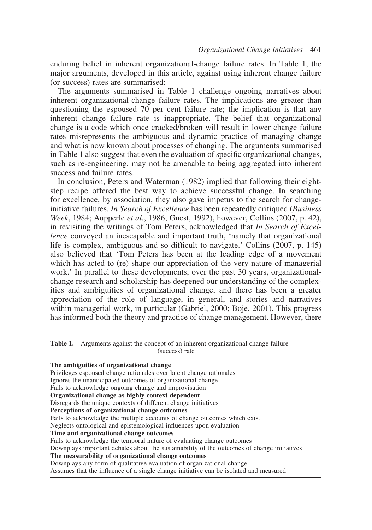enduring belief in inherent organizational-change failure rates. In Table 1, the major arguments, developed in this article, against using inherent change failure (or success) rates are summarised:

The arguments summarised in Table 1 challenge ongoing narratives about inherent organizational-change failure rates. The implications are greater than questioning the espoused 70 per cent failure rate; the implication is that any inherent change failure rate is inappropriate. The belief that organizational change is a code which once cracked/broken will result in lower change failure rates misrepresents the ambiguous and dynamic practice of managing change and what is now known about processes of changing. The arguments summarised in Table 1 also suggest that even the evaluation of specific organizational changes, such as re-engineering, may not be amenable to being aggregated into inherent success and failure rates.

In conclusion, Peters and Waterman (1982) implied that following their eightstep recipe offered the best way to achieve successful change. In searching for excellence, by association, they also gave impetus to the search for changeinitiative failures. In Search of Excellence has been repeatedly critiqued (Business Week, 1984; Aupperle et al., 1986; Guest, 1992), however, Collins (2007, p. 42), in revisiting the writings of Tom Peters, acknowledged that In Search of Excellence conveyed an inescapable and important truth, 'namely that organizational life is complex, ambiguous and so difficult to navigate.' Collins (2007, p. 145) also believed that 'Tom Peters has been at the leading edge of a movement which has acted to (re) shape our appreciation of the very nature of managerial work.' In parallel to these developments, over the past 30 years, organizationalchange research and scholarship has deepened our understanding of the complexities and ambiguities of organizational change, and there has been a greater appreciation of the role of language, in general, and stories and narratives within managerial work, in particular (Gabriel, 2000; Boje, 2001). This progress has informed both the theory and practice of change management. However, there

| <b>Table 1.</b> Arguments against the concept of an inherent organizational change failure |                |  |  |
|--------------------------------------------------------------------------------------------|----------------|--|--|
|                                                                                            | (success) rate |  |  |

| The ambiguities of organizational change                                                   |
|--------------------------------------------------------------------------------------------|
| Privileges espoused change rationales over latent change rationales                        |
| Ignores the unanticipated outcomes of organizational change                                |
| Fails to acknowledge ongoing change and improvisation                                      |
| Organizational change as highly context dependent                                          |
| Disregards the unique contexts of different change initiatives                             |
| Perceptions of organizational change outcomes                                              |
| Fails to acknowledge the multiple accounts of change outcomes which exist                  |
| Neglects ontological and epistemological influences upon evaluation                        |
| Time and organizational change outcomes                                                    |
| Fails to acknowledge the temporal nature of evaluating change outcomes                     |
| Downplays important debates about the sustainability of the outcomes of change initiatives |
| The measurability of organizational change outcomes                                        |
| Downplays any form of qualitative evaluation of organizational change                      |
| Assumes that the influence of a single change initiative can be isolated and measured      |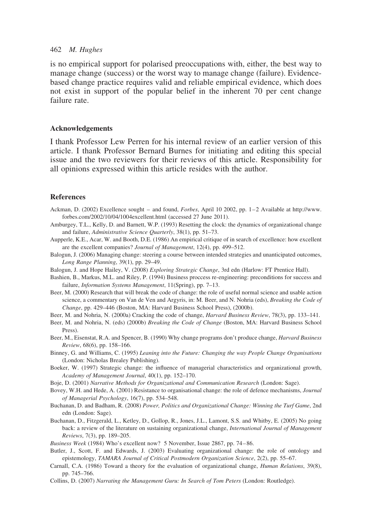is no empirical support for polarised preoccupations with, either, the best way to manage change (success) or the worst way to manage change (failure). Evidencebased change practice requires valid and reliable empirical evidence, which does not exist in support of the popular belief in the inherent 70 per cent change failure rate.

### Acknowledgements

I thank Professor Lew Perren for his internal review of an earlier version of this article. I thank Professor Bernard Burnes for initiating and editing this special issue and the two reviewers for their reviews of this article. Responsibility for all opinions expressed within this article resides with the author.

#### References

- Ackman, D. (2002) Excellence sought and found, *Forbes*, April 10 2002, pp. 1–2 Available at [http://www.](http://www.forbes.com/2002/10/04/1004excellent.html) [forbes.com/2002/10/04/1004excellent.html](http://www.forbes.com/2002/10/04/1004excellent.html) (accessed 27 June 2011).
- Amburgey, T.L., Kelly, D. and Barnett, W.P. (1993) Resetting the clock: the dynamics of organizational change and failure, Administrative Science Quarterly, 38(1), pp. 51–73.
- Aupperle, K.E., Acar, W. and Booth, D.E. (1986) An empirical critique of in search of excellence: how excellent are the excellent companies? Journal of Management, 12(4), pp. 499–512.
- Balogun, J. (2006) Managing change: steering a course between intended strategies and unanticipated outcomes, Long Range Planning, 39(1), pp. 29–49.
- Balogun, J. and Hope Hailey, V. (2008) Exploring Strategic Change, 3rd edn (Harlow: FT Prentice Hall).
- Bashien, B., Markus, M.L. and Riley, P. (1994) Business proccess re-engineering: preconditions for success and failure, Information Systems Management, 11(Spring), pp. 7–13.
- Beer, M. (2000) Research that will break the code of change: the role of useful normal science and usable action science, a commentary on Van de Ven and Argyris, in: M. Beer, and N. Nohria (eds), Breaking the Code of Change, pp. 429–446 (Boston, MA: Harvard Business School Press), (2000b).
- Beer, M. and Nohria, N. (2000a) Cracking the code of change, Harvard Business Review, 78(3), pp. 133–141.
- Beer, M. and Nohria, N. (eds) (2000b) Breaking the Code of Change (Boston, MA: Harvard Business School Press).
- Beer, M., Eisenstat, R.A. and Spencer, B. (1990) Why change programs don't produce change, Harvard Business Review, 68(6), pp. 158–166.
- Binney, G. and Williams, C. (1995) Leaning into the Future: Changing the way People Change Organisations (London: Nicholas Brealey Publishing).
- Boeker, W. (1997) Strategic change: the influence of managerial characteristics and organizational growth, Academy of Management Journal, 40(1), pp. 152–170.
- Boje, D. (2001) Narrative Methods for Organizational and Communication Research (London: Sage).
- Bovey, W.H. and Hede, A. (2001) Resistance to organisational change: the role of defence mechanisms, Journal of Managerial Psychology, 16(7), pp. 534–548.
- Buchanan, D. and Badham, R. (2008) Power, Politics and Organizational Change: Winning the Turf Game, 2nd edn (London: Sage).
- Buchanan, D., Fitzgerald, L., Ketley, D., Gollop, R., Jones, J.L., Lamont, S.S. and Whitby, E. (2005) No going back: a review of the literature on sustaining organizational change, International Journal of Management Reviews, 7(3), pp. 189–205.

Business Week (1984) Who's excellent now? 5 November, Issue 2867, pp. 74– 86.

- Butler, J., Scott, F. and Edwards, J. (2003) Evaluating organizational change: the role of ontology and epistemology, TAMARA Journal of Critical Postmodern Organization Science, 2(2), pp. 55–67.
- Carnall, C.A. (1986) Toward a theory for the evaluation of organizational change, Human Relations, 39(8), pp. 745–766.
- Collins, D. (2007) Narrating the Management Guru: In Search of Tom Peters (London: Routledge).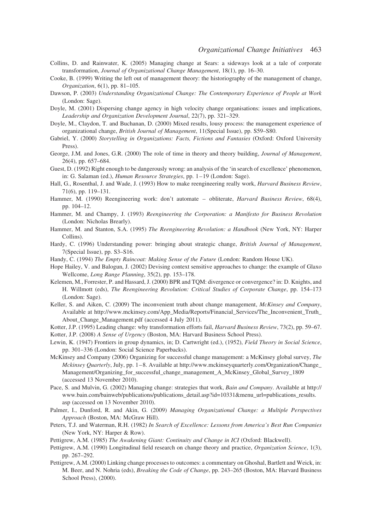- Collins, D. and Rainwater, K. (2005) Managing change at Sears: a sideways look at a tale of corporate transformation, Journal of Organizational Change Management, 18(1), pp. 16–30.
- Cooke, B. (1999) Writing the left out of management theory: the historiography of the management of change, Organization, 6(1), pp. 81–105.
- Dawson, P. (2003) Understanding Organizational Change: The Contemporary Experience of People at Work (London: Sage).
- Doyle, M. (2001) Dispersing change agency in high velocity change organisations: issues and implications, Leadership and Organization Development Journal, 22(7), pp. 321–329.
- Doyle, M., Claydon, T. and Buchanan, D. (2000) Mixed results, lousy process: the management experience of organizational change, British Journal of Management, 11(Special Issue), pp. S59–S80.
- Gabriel, Y. (2000) Storytelling in Organizations: Facts, Fictions and Fantasies (Oxford: Oxford University Press).
- George, J.M. and Jones, G.R. (2000) The role of time in theory and theory building, Journal of Management, 26(4), pp. 657–684.
- Guest, D. (1992) Right enough to be dangerously wrong: an analysis of the 'in search of excellence' phenomenon, in: G. Salaman (ed.), Human Resource Strategies, pp. 1–19 (London: Sage).
- Hall, G., Rosenthal, J. and Wade, J. (1993) How to make reengineering really work, *Harvard Business Review*, 71(6), pp. 119–131.
- Hammer, M. (1990) Reengineering work: don't automate obliterate, Harvard Business Review, 68(4), pp. 104–12.
- Hammer, M. and Champy, J. (1993) Reengineering the Corporation: a Manifesto for Business Revolution (London: Nicholas Brearly).
- Hammer, M. and Stanton, S.A. (1995) The Reengineering Revolution: a Handbook (New York, NY: Harper Collins).
- Hardy, C. (1996) Understanding power: bringing about strategic change, British Journal of Management, 7(Special Issue), pp. S3–S16.
- Handy, C. (1994) The Empty Raincoat: Making Sense of the Future (London: Random House UK).
- Hope Hailey, V. and Balogun, J. (2002) Devising context sensitive approaches to change: the example of Glaxo Wellcome, Long Range Planning, 35(2), pp. 153–178.
- Kelemen, M., Forrester, P. and Hassard, J. (2000) BPR and TQM: divergence or convergence? in: D. Knights, and H. Willmott (eds), The Reengineering Revolution: Critical Studies of Corporate Change, pp. 154–173 (London: Sage).
- Keller, S. and Aiken, C. (2009) The inconvenient truth about change management, McKinsey and Company, Available at [http://www.mckinsey.com/App\\_Media/Reports/Financial\\_Services/The\\_Inconvenient\\_Truth\\_](http://www.mckinsey.com/App_Media/Reports/Financial_Services/The_Inconvenient_Truth_About_Change_Management.pdf) About Change Management.pdf (accessed 4 July 2011).
- Kotter, J.P. (1995) Leading change: why transformation efforts fail, Harvard Business Review, 73(2), pp. 59–67.
- Kotter, J.P. (2008) A Sense of Urgency (Boston, MA: Harvard Business School Press).
- Lewin, K. (1947) Frontiers in group dynamics, in; D. Cartwright (ed.), (1952), Field Theory in Social Science, pp. 301–336 (London: Social Science Paperbacks).
- McKinsey and Company (2006) Organizing for successful change management: a McKinsey global survey, The Mckinsey Quarterly, July, pp. 1–8. Available at [http://www.mckinseyquarterly.com/Organization/Change\\_](http://www.mckinseyquarterly.com/Organization/Change_Management/Organizing_for_successful_change_management_A_McKinsey_Global_Survey_1809) [Management/Organizing\\_for\\_successful\\_change\\_management\\_A\\_McKinsey\\_Global\\_Survey\\_1809](http://www.mckinseyquarterly.com/Organization/Change_Management/Organizing_for_successful_change_management_A_McKinsey_Global_Survey_1809) (accessed 13 November 2010).
- Pace, S. and Mulvin, G. (2002) Managing change: strategies that work, Bain and Company. Available at [http://](http://www.bain.com/bainweb/publications/publications_detail.asp?id=10331&menu_url=publications_results.asp) [www.bain.com/bainweb/publications/publications\\_detail.asp?id=10331&menu\\_url=publications\\_results.](http://www.bain.com/bainweb/publications/publications_detail.asp?id=10331&menu_url=publications_results.asp) [asp](http://www.bain.com/bainweb/publications/publications_detail.asp?id=10331&menu_url=publications_results.asp) (accessed on 13 November 2010).
- Palmer, I., Dunford, R. and Akin, G. (2009) Managing Organizational Change: a Multiple Perspectives Approach (Boston, MA: McGraw Hill).
- Peters, T.J. and Waterman, R.H. (1982) In Search of Excellence: Lessons from America's Best Run Companies (New York, NY: Harper & Row).
- Pettigrew, A.M. (1985) The Awakening Giant: Continuity and Change in ICI (Oxford: Blackwell).
- Pettigrew, A.M. (1990) Longitudinal field research on change theory and practice, Organization Science, 1(3), pp. 267–292.
- Pettigrew, A.M. (2000) Linking change processes to outcomes: a commentary on Ghoshal, Bartlett and Weick, in: M. Beer, and N. Nohria (eds), Breaking the Code of Change, pp. 243–265 (Boston, MA: Harvard Business School Press), (2000).